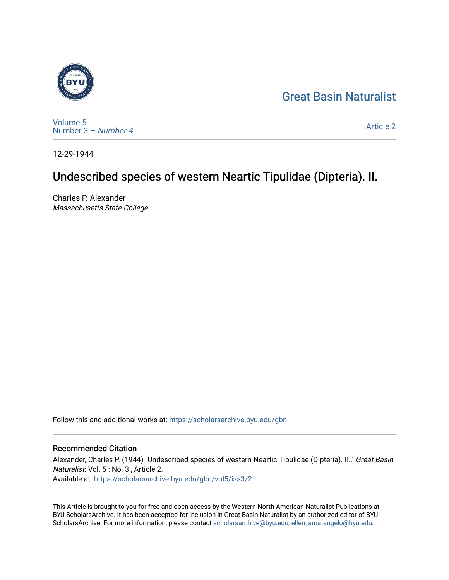# [Great Basin Naturalist](https://scholarsarchive.byu.edu/gbn)



[Volume 5](https://scholarsarchive.byu.edu/gbn/vol5) [Number 3](https://scholarsarchive.byu.edu/gbn/vol5/iss3) – Number 4

[Article 2](https://scholarsarchive.byu.edu/gbn/vol5/iss3/2) 

12-29-1944

# Undescribed species of western Neartic Tipulidae (Dipteria). II.

Charles P. Alexander Massachusetts State College

Follow this and additional works at: [https://scholarsarchive.byu.edu/gbn](https://scholarsarchive.byu.edu/gbn?utm_source=scholarsarchive.byu.edu%2Fgbn%2Fvol5%2Fiss3%2F2&utm_medium=PDF&utm_campaign=PDFCoverPages) 

# Recommended Citation

Alexander, Charles P. (1944) "Undescribed species of western Neartic Tipulidae (Dipteria). II.," Great Basin Naturalist: Vol. 5 : No. 3 , Article 2. Available at: [https://scholarsarchive.byu.edu/gbn/vol5/iss3/2](https://scholarsarchive.byu.edu/gbn/vol5/iss3/2?utm_source=scholarsarchive.byu.edu%2Fgbn%2Fvol5%2Fiss3%2F2&utm_medium=PDF&utm_campaign=PDFCoverPages) 

This Article is brought to you for free and open access by the Western North American Naturalist Publications at BYU ScholarsArchive. It has been accepted for inclusion in Great Basin Naturalist by an authorized editor of BYU ScholarsArchive. For more information, please contact [scholarsarchive@byu.edu, ellen\\_amatangelo@byu.edu.](mailto:scholarsarchive@byu.edu,%20ellen_amatangelo@byu.edu)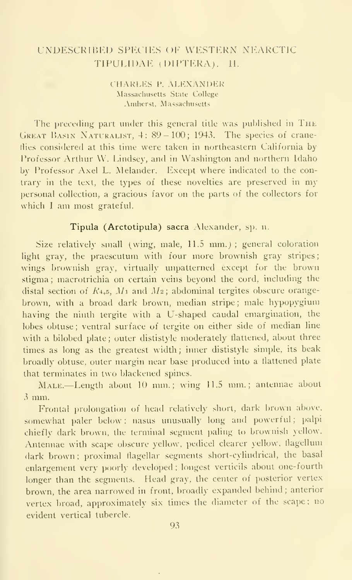# UNDESCRIBED SPECIES OF WESTERN NEARCTIC TIPULIDAE (DIPTERA). 11.

CHARLES P. ALEXANDER Massachusetts State College Amherst, Massachusetts

The preceding part under this general title was published in The GREAT BASIN NATURALIST,  $4: 89-100; 1943$ . The species of craneflies considered at this time were taken in northeastern California by Professor Arthur W. Lindsey, and in Washington and northern Idaho by Professor Axel L. Melander. Except where indicated to the contrary in the text, the types of these novelties are preserved in my personal collection, a gracious favor on the parts of the collectors for which <sup>I</sup>am most grateful.

### Tipula (Arctotipula) sacra Alexander, sp. n.

Size relatively small (wing, male,  $11.5 \text{ mm}$ .); general coloration light gray, the praescutum with four more brownish gray stripes; wings brownish gray, virtually unpatterned except for the brown stigma; macrotrichia on certain veins beyond the cord, including the distal section of  $R_{4,5}$ ,  $M_1$  and  $M_2$ ; abdominal tergites obscure orangebrown, with a broad dark brown, median stripe ; male hypopygium having the ninth tergite with a U-shaped caudal emargination, the lobes obtuse ; ventral surface of tergite on either side of median line with a bilobed plate; outer dististyle moderately flattened, about three times as long as the greatest width; inner dististyle simple, its beak broadly obtuse, outer margin near base produced into a flattened plate that terminates in two blackened spines.

Male.—Length about <sup>10</sup> mm.; wing 11.5 mm.; antennae about <sup>3</sup> mm.

Frontal prolongation of head relatively short, dark brown above, somewhat paler below : nasus unusually long and powerful; palpi chiefly dark brown, ihe terminal segment paling to brownish yellow. Antennae with scape obscure yellow, pedicel clearer yellow, flagellum dark brown ; proximal flagellar segments short-cylindrical, the basal enlargement very poorly developed; longest verticils about one-fourth longer than the segments. Head gray, the center of posterior vertex brown, the area narrowed in front, broadly expanded behind ; anterior vertex broad, approximately six times the diameter of the scape; no evident vertical tubercle.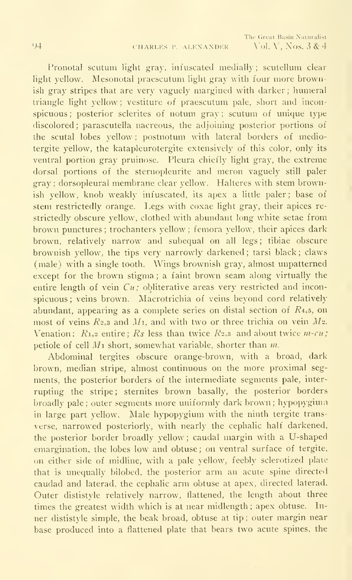Pronotal scutum light gray, infuscated medially; scutellum clear light yellow. Mesonotal praescutum light gray with four more brownish gray stripes that are very vaguely margined with darker ; humeral triangle light yellow ; vestiture of praescutum pale, short and inconspicuous; posterior sclerites of notum gray: scutum of unique type discolored; parascutella nacreous, the adjoining posterior portions of the scutal lobes yellow ; postnotum with lateral borders of mediotergite yellow, the katapleurotergite extensively of this color, only its ventral portion gray pruinose. Pleura chiefly light gray, the extreme dorsal portions of the sternopleurite and meron vaguely still paler gray ; dorsopleural membrane clear yellow. Halteres with stem brownish yellow, knob weakly infuscated, its apex a little paler; base of stem restrictedly orange. Legs with coxae light gray, their apices re strictedly obscure yellow, clothed with abundant long white setae from brown punctures; trochanters yellow; femora yellow, their apices dark brown, relatively narrow and subequal on all legs; tibiae obscure brownish yellow, the tips very narrowly darkened; tarsi black; claws (male) with a single tooth. Wings brownish gray, almost unpatterned except for the brown stigma ; a faint brown seam along virtually the entire length of vein  $Cu$ ; obliterative areas very restricted and inconspicuous; veins brown. Macrotrichia of veins bevond cord relatively abundant, appearing as a complete series on distal section of  $R_{4,5}$ , on most of veins  $R_{2+3}$  and  $M_1$ , and with two or three trichia on vein  $M_2$ . Venation:  $R_{1,2}$  entire;  $R_s$  less than twice  $R_{2,3}$  and about twice  $m$ -cu; petiole of cell  $M_1$  short, somewhat variable, shorter than  $m$ .

Abdominal tergites obscure orange-brown, with a broad, dark brown, median stripe, almost continuous on the more proximal seg ments, the posterior borders of the intermediate segments pale, inter rupting the stripe; sternites brown basally, the posterior borders broadly pale; outer segments more uniformly dark brown; hypopygium in large part yellow. Male hypopygium with the ninth tergite transverse, narrowed posteriorly, with nearly the cephalic half darkened, the posterior border broadly yellow ; caudal margin with a U-shaped emargination, the lobes low and obtuse; on ventral surface of tergite, on either side of midline, with a pale yellow, feebly sclerotized plate that is unequally bilobed, the posterior arm an acute spine directed caudad and laterad, the cephalic arm obtuse at apex, directed laterad. Outer dististyle relatively narrow, flattened, the length about three times the greatest width which is at near midlength ; apex obtuse. In ner dististyle simple, the beak broad, obtuse at tip ; outer margin near base produced into a flattened plate that bears two acute spines, the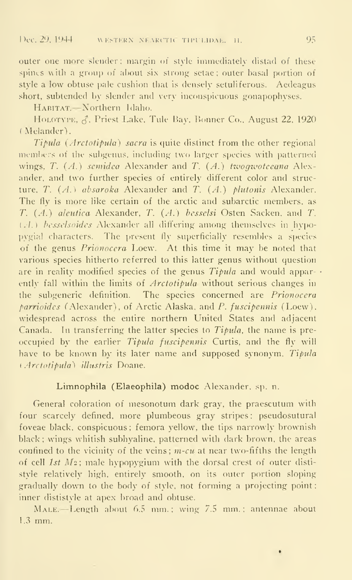outer one more slender; margin of style-immediately distad of these spines with a group of about six strong setae; outer basal portion of style a low obtuse pale cushion that is densely setuliferous. Aedeagus short, subtended by slender and very inconspicuous gonapophyses.

HABITAT.-Northern Idaho.

HOLOTYPE,  $\zeta$ . Priest Lake. Tule Bay. Bonner Co., August 22, 1920 ( Melander).

 $Tipula$  ( $Arctotipula$ ) sacra is quite distinct from the other regional members of the subgenus, including two larger species with patterned wings. T.  $(A)$  semidea Alexander and T.  $(A)$  two gwoteeana Alexander, and two further species of entirely different color and structure. T.  $(A.)$  absaroka Alexander and T.  $(A.)$  plutonis Alexander. The fly is more like certain of the arctic and subarctic members, as T. (A.) aleutica Alexander, T. (A.) besselsi Osten Sacken, and T. (c1.) besselsoides Alexander all differing among themselves in hypopygial characters. The present fly superficially resembles a species of the genus Prionocera Loew. At this time it may be noted that various species hitherto referred to this latter genus without question are in reality modified species of the genus  $Tipula$  and would apparently fall within the limits of *Arctotipula* without serious changes in the subgeneric definition. The species concerned are Prionocera parrioides (Alexander), of Arctic Alaska, and P. fuscipennis (Loew), widespread across the entire northern United States and adjacent Canada. In transferring the latter species to  $Tipula$ , the name is preoccupied by the earlier Tipula fuscipennis Curtis, and the fly will have to be known by its later name and supposed synonym, Tipula (Arctotipula) illustris Doane.

### Limnophila (Elaeophila) modoc Alexander, sp. n.

General coloration of mesonotum dark gray, the praescutum with four scarcely defined, more plumbeous gray stripes ; pseudosutural foveae black, conspicuous; femora yellow, the tips narrowly brownish black; wings whitish subhyaline, patterned with dark brown, the areas confined to the vicinity of the veins;  $m$ -cu at near two-fifths the length of cell  $1st$   $M_2$ ; male hypopygium with the dorsal crest of outer dististyle relatively high, entirely smooth, on its outer portion sloping gradually down to the body of style, not forming <sup>a</sup> projecting point inner dististyle at apex broad and obtuse.

MALE. Length about 6.5 mm.; wing 7.5 mm.; antennae about 1.3 mm.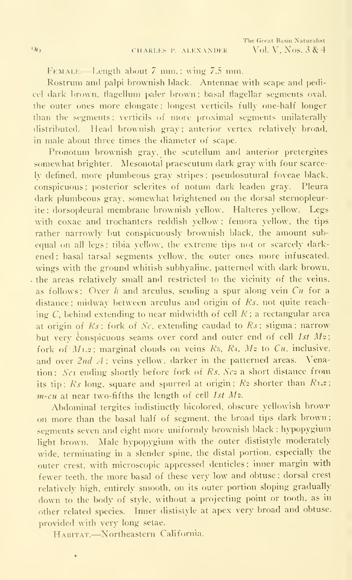FEMALE. Length about 7 mm.; wing 7.5 mm.

Rostrum and palpi brownish black. Antennae with scape and pedicel dark brown, flagellum paler brown; basal flagellar segments oval. the outer ones more elongate; longest verticils fully one-half longer than the segments; verticils of more proximal segments unilaterally distributed. Head brownish gray; anterior vertex relatively broad, in male about three times the diameter of scape.

Pronotum brownish gray, the scutellum and anterior pretergites somewhat brighter. Mesonotal praescutum dark gray with four scarcely defined, more plumbeous gray stripes; pseudosutural foveae black, conspicuous ; posterior sclerites of notum dark leaden gray. Pleura dark plumbeous gray, somewhat brightened on the dorsal sternopleurite; dorsopleural membrane brownish yellow. Halteres yellow. Legs with coxae and trochanters reddish yellow ; femora yellow, the tips rather narrowly but conspicuously brownish black, the amount subequal on all legs; tibia yellow, the extreme tips not or scarcely darkened; basal tarsal segments yellow, the outer ones more infuscated. wings with the ground whitish subhyaline. patterned with dark brown. . the areas relatively small and restricted to the vicinity of the veins, as follows: Over h and arculus, sending a spur along vein  $Cu$  for a distance ; midway between arculus and origin of Ks, not quite reach ing C, behind extending to near midwidth of cell  $R$ ; a rectangular area at origin of  $Rs$ ; fork of  $Sc$ , extending caudad to  $Rs$ ; stigma; narrow but very conspicuous seams over cord and outer end of cell 1st  $M_2$ ; fork of  $M_{1+2}$ ; marginal clouds on veins  $R_3$ ,  $R_4$ ,  $M_2$  to  $Cu$ , inclusive, and over  $2nd\ A$ ; veins yellow, darker in the patterned areas. Venation: Sc1 ending shortly before fork of Rs, Sc2 a short distance from its tip;  $\mathbb{R}_s$  long, square and spurred at origin;  $\mathbb{R}_2$  shorter than  $\mathbb{R}_{1,2}$ ;  $m$ -cu at near two-fifths the length of cell 1st  $M_2$ .

Abdominal tergites indistinctly bicolored. obscure yellowish browr on more than the basal half of segment, the broad tips dark brown ; segments seven and eight more uniformly brownish black; hypopygium light brown. Male hypopygium with the outer dististyle moderately wide, terminating in a slender spine, the distal portion, especially the outer crest, with microscopic appressed denticles; inner margin with fewer teeth, the more basal of these very low and obtuse ; dorsal crest relatively high, entirely smooth, on its outer portion sloping gradually down to the body of style, without <sup>a</sup> projecting point or tooth, as in other related species. Inner dististyle at apex very broad and obtuse, provided with very long setae.

HABITAT.—Northeastern California.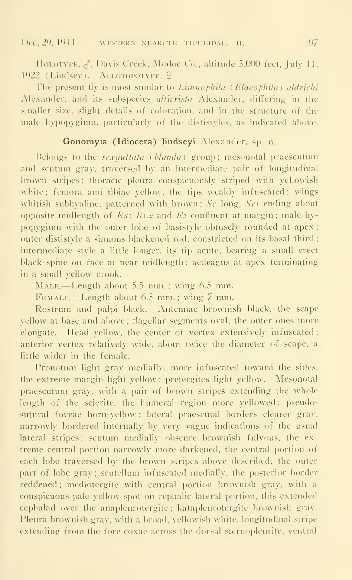HOLOTYPE,  $\delta$ , Davis Creek, Modoc Co., altitude 5,000 feet, July 11, 1922 (Lindsey). ALLOTOPOTYPE, Q.

The present fly is most similar to Linnophila (Elaeophila) aldrichi Alexander, and its subspecies *alticrista* Alexander, differing in the smaller size, slight details of coloration, and in the structure of the male hypopygium, particularly of the dististyles, as indicated above.

# Gonomyia (Idiocera) lindseyi Alexander, sp. n.

Belongs to the sexquitata (blanda) group; mesonotal praescutum and scutum gray, traversed by an intermediate pair of longitudinal brown stripes: thoracic pleura conspicuously striped with yellowish white; femora and tibiae vellow, the tips weakly infuscated; wings whitish subhyaline, patterned with brown;  $S_{\mathcal{C}}$  long,  $S_{\mathcal{C}}$  ending about opposite midlength of  $Rs$ ;  $R_{1,2}$  and  $Rs$  confluent at margin; male hypopygium with the outer lobe of basistyle obtusely rounded at apex; outer dististyle a sinuous blackened rod. constricted on its basal third; intermediate style a little longer, its tip acute, bearing a small erect black spine on face at near midlength; aedeagus at apex terminating in a small yellow crook.

MALE.—Length about 5.5 mm.; wing 6.5 mm.

Female.—Length about 6.5 mm. : wing <sup>7</sup> mm.

Rostrum and palpi black. Antennae brownish black, the scape vellow at base and above; flagellar segments oval, the outer ones more elongate. Head yellow, the center of vertex extensively infuscated : anterior vertex relatively wide, about twice the diameter of scape, a little wider in the female.

Pronotum light gray medially, more infuscated toward the sides. the extreme margin light yellow : pretergites light yellow. Mesonotal praescutum grav, with a pair of brown stripes extending the whole length of the sclerite, the humeral region more vellowed; pseudosutural foveae horn-yellow; lateral praescutal borders clearer gray, narrowly bordered internally by very vague indications of the usual lateral stripes; scutum medially obscure brownish fulvous, the extreme central portion narrcnvly more darkened, the central portion of each lobe traversed by the brown stripes above described, the outer part of lobe gray; scutellum infuscated medially, the posterior border reddened; mediotergite with central portion brownish gray, with a conspicuous pale vellow spot on cephalic lateral portion, this extended cephalad over the anapleurotergite; katapleurotergite brownish gray. Pleura brownish grav, with a broad, yellowish white, longitudinal stripe extending from the fore coxae across the dorsal sternopleurite, ventral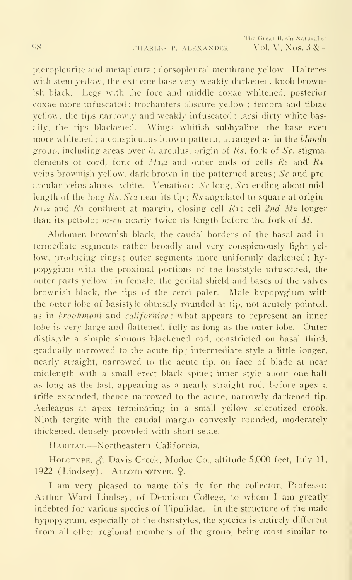pleropleurite and nietapleura ; dorsopleural membrane yellow. Halteres with stem yellow, the extreme base very weakly darkened, knob brownish black. Legs with the fore and middle coxae whitened, posterior coxae more infuscated : trochanters obscure yellow ; femora and tibiae yellow, the tips narrowly and weakly infuscated; tarsi dirty white basally. the tips blackened. Wings whitish subhyaline. the base even more whitened; a conspicuous brown pattern, arranged as in the blanda group, including areas over h, arculus, origin of  $Rs$ , fork of  $Sc$ , stigma, elements of cord, fork of  $M_{1+2}$  and outer ends of cells  $R_3$  and  $R_4$ ; veins brownish yellow, dark brown in the patterned areas; Sc and pre arcular veins almost white. Venation:  $Sc$  long,  $Sc$  ending about midlength of the long  $Rs$ ,  $Sc<sub>2</sub>$  near its tip;  $Rs$  angulated to square at origin;  $R_{1+2}$  and  $R_3$  confluent at margin, closing cell  $R_1$ ; cell 2nd M<sub>2</sub> longer than its petiole;  $m$ -cu nearly twice its length before the fork of M.

Abdomen brownish black, the caudal borders of the basal and in termediate segments rather broadly and very conspicuously light yellow, producing rings; outer segments more uniformly darkened; hypopygium with the proximal portions of the basistyle infuscated, the outer parts vellow ; in female, the genital shield and bases of the valves brownish black, the tips of the cerci paler. Male hypopygium with the outer lobe of basistyle obtusely rounded at tip, not acutely pointed, as in *brookmani* and *californica*; what appears to represent an inner lobe is very large and flattened, fully as long as the outer lobe. Outer dististyle a simple sinuous blackened rod, constricted on basal third, gradually narrowed to the acute tip ; intermediate style a little longer, nearly straight, narrowed to the acute tip, on face of blade at near midlength with a small erect black spine; inner style about one-half as long as the last, appearing as a nearly straight rod, before apex a trifle expanded, thence narrowed to the acute, narrowly darkened tip. Aedeagus at apex terminating in a small yellow sclerotized crook. Ninth tergite with the caudal margin convexly rounded, moderately thickened, densely provided with short setae.

Habitat.—^Northeastern California.

HOLOTYPE,  $\zeta$ , Davis Creek, Modoc Co., altitude 5,000 feet, July 11, 1922 (Lindsey). ALLOTOPOTYPE, Q.

<sup>I</sup> am very pleased to name this fly for the collector, Professor Arthur Ward Lindsey, of Dennison College, to whom <sup>I</sup> am greatly indebted for various species of Tipulidae. In the structure of the male hypopygium, especially of the dististyles, the species is entirely different from all other regional members of the group, being most similar to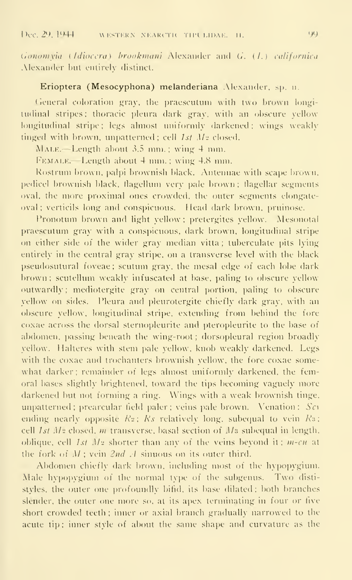Gonomyia (Idiocera) brookmani Alexander and G. (1.) californica Alexander but entirely distinct.

#### Erioptera (Mesocyphona) melanderiana Alexander, sp. u.

General coloration gray, the praescutum with two brown longitudinal stripes: thoracic pleura dark gray, with an obscure yellow longitudinal stripe; legs almost uniformly darkened; wings weakly tinged with brown, unpatterned ; cell  $1st$   $Mz$  closed.

MALE. - Length about  $3.5$  mm.; wing  $4$  mm.

FEMALE.—Length about 4 mm. ; wing 4.8 mm.

Rostrum brown, palpi brownish black. Antennae with scape brown, pedicel brownish black, flagellum very pale brown; flagellar segments oval, the more proximal ones crowded, the outer segments elongateoval ; verticils long and conspicuous. Head dark brown, pruinose.

Pronotum brown and light vellow ; pretergites yellow. Mesonotal praescutum gray with a conspicuous, dark brown, longitudinal stripe on either side of the wider gray median vitta; tuberculate pits lying entirely in the central gray stripe, on a transverse level with the black pseudosutural foveae ; scutum gray, the mesal edge of each lobe dark brown; scutellum weakly infuscated at base, paling to obscure yellow outwardly: mediotergite gray on central portion, paling to obscure yellow on sides. Pleura and pleurotergite chiefly dark gray, with an obscure yellow, longitudinal stripe, extending from behind the fore coxae across the dorsal sternopleurite and pteropleurite to the base of abdomen, passing beneath the wing-root; dorsopleural region broadly vellow. Halteres with stem pale yellow, knob weakly darkened. Legs with the coxae and trochanters brownish yellow, the fore coxae some what darker; remainder of legs almost uniformly darkened, the femoral bases slightly brightened, toward the tips becoming vaguely more darkened but not forming a ring. Wings with a weak brownish tinge, unpatterned ; prearcular field paler ; veins pale brown. Venation :  $S\epsilon_1$ ending nearly opposite  $R_z$ :  $Rs$  relatively long, subequal to vein  $Rs$ : cell  $1st$   $Mz$  closed,  $m$  transverse, basal section of  $Mz$  subequal in length. oblique, cell  $1st$   $Mz$  shorter than any of the veins beyond it;  $m$ -cu at the fork of  $M$ ; vein  $2nd$   $A$  sinuous on its outer third.

Abdomen chiefly dark brown, including most of the hypopygium. Male hypopygium of the normal type of the subgenus. Two dististyles, the outer one profoundly bifid, its base dilated; both branches slender, the outer one more so, at its apex terminating in four or five short crowded teeth; inner or axial branch gradually narrowed to the acute tip; inner style of about the same shape and curvature as the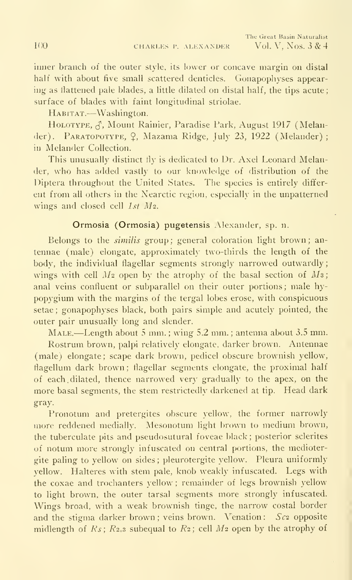inner branch of the outer style, its lower or concave margin on distal half with about five small scattered denticles. Gonapophyses appearing as flattened pale blades, a little dilated on distal half, the tips acute; surface of blades with faint longitudinal striolae.

HABITAT.—Washington.

HOLOTYPE,  $\zeta$ , Mount Rainier, Paradise Park, August 1917 (Melander). PARATOPOTYPE, ?, Mazama Ridge, July 23, 1922 (Melander) ; in Melander Collection.

This unusually distinct fly is dedicated to Dr. Axel Leonard Melander, who has added vastly to our knowledge of distribution of the Diptera throughout the United States. The species is entirely differ ent from all others in the Nearctic region, especially in the unpatterned wings and closed cell 1st M<sub>2</sub>.

### Ormosia (Ormosia) pugetensis Alexander, sp. n.

Belongs to the similis group; general coloration light brown; antennae (male) elongate, approximately two-thirds the length of the body, the individual flagellar segments strongly narrowed outwardly; wings with cell  $M_2$  open by the atrophy of the basal section of  $M_3$ ; anal veins confluent or subparallel on their outer portions ; male hypopygium with the margins of the tergal lobes erose, with conspicuous setae ; gonapophyses black, both pairs simple and acutely pointed, the outer pair unusually long and slender.

Male.—Length about <sup>5</sup> mm. ; wing 5.2 mm. ; antenna about 3.5 mm.

Rostrum brown, palpi relatively elongate, darker brown. Antennae (male) elongate; scape dark brown, pedicel obscure brownish yellow, flagellum dark brown ; flagellar segments elongate, the proximal half of each. dilated, thence narrowed very gradually to the apex, on the more basal segments, the stem restrictedly darkened at tip. Head dark gray.

Pronotum and pretergites obscure yellow, the former narrowly more reddened medially. Mesonotum light brown to medium brown, the tuberculate pits and pseudosutural foveae black; posterior sclerites of notum more strongly infuscated on central portions, the mediotergite paling to yellow on sides ; pleurotergite yellow. Pleura uniformly yellow. Halteres with stem pale, knob weakly infuscated. Legs with the coxae and trochanters yellow ; remainder of legs brownish yellow to light brown, the outer tarsal segments more strongly infuscated. Wings broad, with a weak brownish tinge, the narrow costal border and the stigma darker brown; veins brown. Venation: Sc2 opposite midlength of  $Rs$ ;  $R_{2+3}$  subequal to  $R_2$ ; cell  $M_2$  open by the atrophy of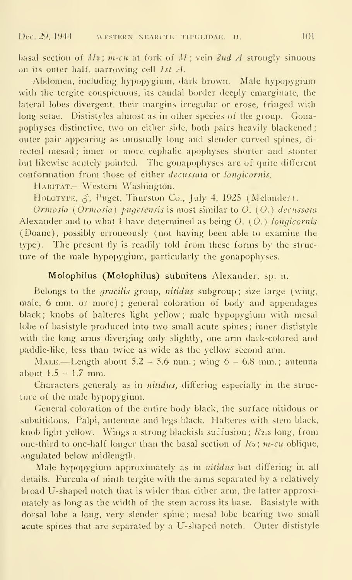basal section of  $M_3$ ; m-cu at fork of  $M$ ; vein 2nd  $A$  strongly sinuous on its outer half, narrowing cell  $1st$   $\lambda$ .

Abdomen, including liypopygiuni, dark brown. Male hypopygium with the tergite conspicuous, its caudal border deeply emarginate, the lateral lobes divergent, their margins irregular or erose, fringed with long setae. Dististyles almost as in other species of the group. Gonapophyses distinctive, two on either side, both pairs heavily blackened; outer pair appearing as unusually long and slender curved spines, di rected mesad; inner or more cephalic apophyses shorter and stouter but likewise acutely pointed. The gonapophyses are of quite different conformation from those of either *decussata* or *longicornis*.

HABITAT.—Western Washington.

HOLOTYPE,  $\beta$ , Puget, Thurston Co., July 4, 1925 (Melander).

Ormosia (Ormosia) pugetensis is most similar to  $O.$  (O.) decussata Alexander and to what <sup>I</sup> have determined as being O. (O.) longicornis (Doane), possibly erroneously (not having been able to examine the type). The present fly is readily told from these forms by the structure of the male hypopygium, particularly the gonapophyses.

## Molophilus (Molophilus) subnitens Alexander, sp. n.

Belongs to the *gracilis* group, *nitidus* subgroup; size large (wing, male, 6 mm. or more) ; general coloration of body and appendages black; knobs of halteres light yellow; male hypopygium with mesal lobe of basistyle produced into two small acute spines ; inner dististyle with the long arms diverging only slightly, one arm dark-colored and paddle-like, less than twice as wide as the yellow second arm.

MALE.—Length about  $5.2 - 5.6$  mm.; wing  $6 - 6.8$  mm.; antenna about  $1.5 - 1.7$  mm.

Characters generaly as in *nitidus*, differing especially in the structure of the male hypopygium.

General coloration of the entire body black, the surface nitidous or subnitidous. Palpi, antennae and legs black. Halteres with stem black, knob light yellow. Wings a strong blackish suffusion;  $R_{2,3}$  long, from one-third to one-half longer than the basal section of  $Rs$ ;  $m$ -cu oblique, angulated below midlength.

Male hypopygium approximately as in nitidus but differing in all details. Furcula of ninth tergite with the arms separated by a relatively broad U-shaped notch that is wider than either arm, the latter approximately as long as the width of the stem across its base. Basistyle with dorsal lobe a long, very slender spine ; mesal lobe bearing two small acute spines that are separated by a U-shaped notch. Outer dististyle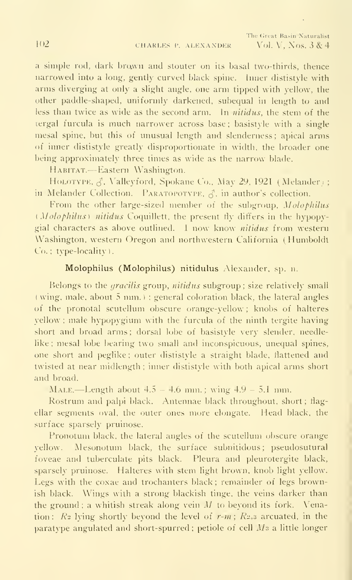a simple rod, dark brown and stouter on its basal two-thirds, thence narrowed into a long, gently curved black spine. Inner dististyle with arms diverging at only a slight angle, one arm tipped with yellow, the other paddle-shaped, uniformly darkened, subequal in length to and less than twice as wide as the second arm. In nitidus, the stem of the tergal furcula is much narrower across base; basistyle with <sup>a</sup> single mesal spine, but this of unusual length and slenderness; apical arms of inner dististyle greatly disproportionate in width, the broader one being approximately three times as wide as the narrow^ blade.

HABITAT.-Eastern Washington.

HOLOTYPE, J. Valleyford, Spokane Co., May 29, 1921 (Melander) ; in Melander Collection. PARATOPOTYPE,  $\beta$ , in author's collection.

From the other large-sized member of the subgroup, Molophilus (Molophilus) nitidus Coquillett, the present fly differs in the hypopygial characters as above outlined. <sup>1</sup> now know nitidus from western Washington, western Oregon and northwestern California (Humboldt Co.: type-locality).

#### Molophilus (Molophilus) nitidulus Alexander, sp. n.

Belongs to the *gracilis* group, *nitidus* subgroup; size relatively small (wing, male, about 5 mm.) ; general coloration black, the lateral angles  $\qquad$ of the pronotal scutellum obscure orange-yellow ; knobs of halteres yellow ; male hypopygium with the furcula of the ninth tergite having short and broad arms ; dorsal lobe of basistyle very slender, needlelike ; mesal lobe bearing two small and inconspicuous, unequal spines, one short and peglike ; outer dististyle a straight blade, flattened and twisted at near midlength ; inner dististyle with both apical arms short and broad.

MALE.—Length about  $4.5 - 4.6$  mm.; wing  $4.9 - 5.1$  mm.

Rostrum and palpi black. Antennae black throughout, short; flagellar segments oval, the outer ones more elongate. Head black, the surface sparsely pruinose.

Pronotum black, the lateral angles of the scutellum obscure orange yellow. Mesonotum black, the surface subnitidous; pseudosutural foveae and tuberculate pits black. Pleura and pleurotergite black, sparsely pruinose. Halteres with stem light brown, knob light yellow. Legs with the coxae and trochanters black ; remainder of legs brownish black. Wings with <sup>a</sup> strong blackish tinge, the veins darker than the ground; a whitish streak along vein  $M$  to beyond its fork. Venation:  $R_2$  lying shortly beyond the level of  $r-m$ ;  $R_{2+3}$  arcuated, in the paratype angulated and short-spurred; petiole of cell Ms a little longer